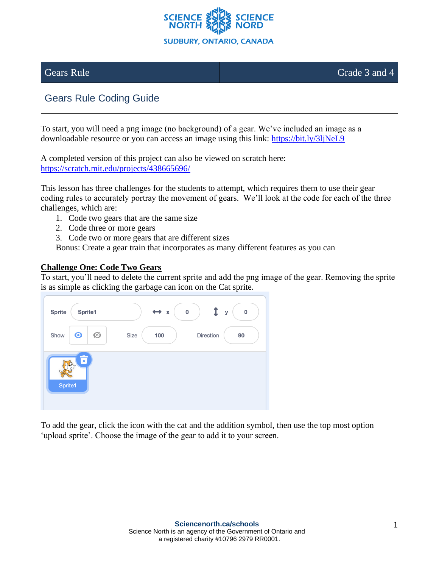

Gears Rule Grade 3 and 4

# Gears Rule Coding Guide

To start, you will need a png image (no background) of a gear. We've included an image as a downloadable resource or you can access an image using this link:<https://bit.ly/3ljNeL9>

A completed version of this project can also be viewed on scratch here: <https://scratch.mit.edu/projects/438665696/>

This lesson has three challenges for the students to attempt, which requires them to use their gear coding rules to accurately portray the movement of gears. We'll look at the code for each of the three challenges, which are:

- 1. Code two gears that are the same size
- 2. Code three or more gears
- 3. Code two or more gears that are different sizes

Bonus: Create a gear train that incorporates as many different features as you can

#### **Challenge One: Code Two Gears**

To start, you'll need to delete the current sprite and add the png image of the gear. Removing the sprite is as simple as clicking the garbage can icon on the Cat sprite.

| <b>Sprite</b> | Sprite1                 |   | $\leftrightarrow x$ | $\pmb{0}$ |           | $\pmb{0}$<br>У |
|---------------|-------------------------|---|---------------------|-----------|-----------|----------------|
| Show          | $\odot$                 | Ø | 100<br>Size         |           | Direction | 90             |
| Sprite1       | $\overline{\mathbf{x}}$ |   |                     |           |           |                |

To add the gear, click the icon with the cat and the addition symbol, then use the top most option 'upload sprite'. Choose the image of the gear to add it to your screen.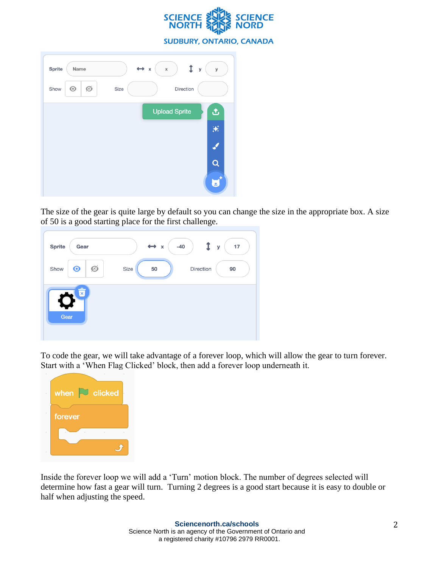

**SUDBURY, ONTARIO, CANADA** 

| Sprite<br>Name       | $\leftrightarrow$ x<br>$\,$ X<br>У<br>У |
|----------------------|-----------------------------------------|
| Ø<br>$\odot$<br>Show | Direction<br>Size                       |
|                      | <b>Upload Sprite</b><br>凸               |
|                      | ₩                                       |
|                      |                                         |
|                      |                                         |
|                      | Œ,                                      |

The size of the gear is quite large by default so you can change the size in the appropriate box. A size of 50 is a good starting place for the first challenge.

| <b>Sprite</b><br>Gear                 | $-40$<br>$\leftrightarrow$ x<br>17<br>$\mathbf{y}$ |
|---------------------------------------|----------------------------------------------------|
| Ø<br>$\odot$<br>Show                  | Size<br>50<br>Direction<br>90                      |
| $\hat{\overline{\mathbf{x}}}$<br>Gear |                                                    |

To code the gear, we will take advantage of a forever loop, which will allow the gear to turn forever. Start with a 'When Flag Clicked' block, then add a forever loop underneath it.



Inside the forever loop we will add a 'Turn' motion block. The number of degrees selected will determine how fast a gear will turn. Turning 2 degrees is a good start because it is easy to double or half when adjusting the speed.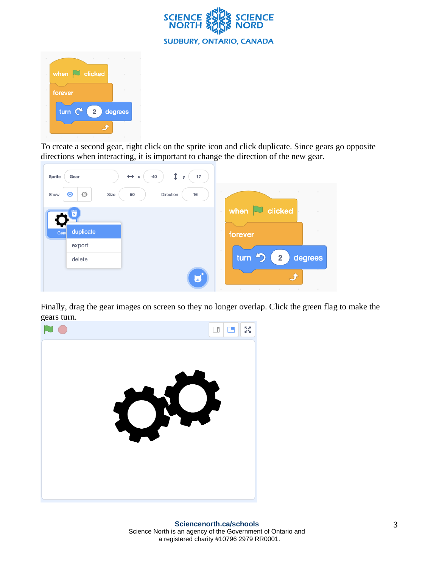



To create a second gear, right click on the sprite icon and click duplicate. Since gears go opposite directions when interacting, it is important to change the direction of the new gear.

| Î<br>$\leftrightarrow x$<br>17<br>Sprite<br>Gear<br>$-40$<br>У |                                              |
|----------------------------------------------------------------|----------------------------------------------|
| Ø<br>$\odot$<br>Size<br>Show<br>50<br>Direction<br>16          | $\sim$                                       |
| $\hat{\overline{\mathbf{x}}}$                                  | when $\Box$ clicked<br>$\sim$                |
| duplicate<br>Gear                                              | $\sim$<br>forever                            |
| export                                                         | $\sim$                                       |
| delete                                                         | turn つ<br>$\overline{\mathbf{2}}$<br>degrees |
| Ξ                                                              | I<br>$\sim$<br>$\sim$<br>$\sim$              |

Finally, drag the gear images on screen so they no longer overlap. Click the green flag to make the gears turn.

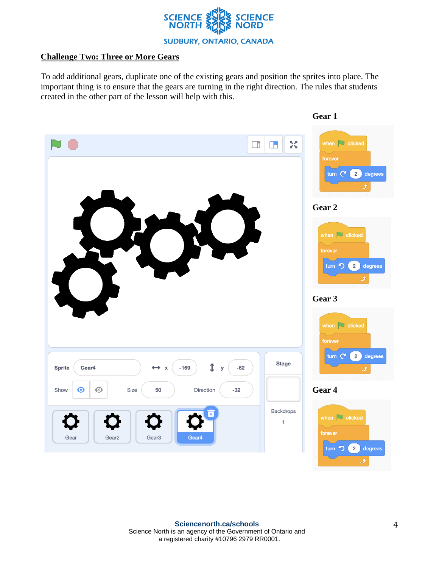

## **Challenge Two: Three or More Gears**

To add additional gears, duplicate one of the existing gears and position the sprites into place. The important thing is to ensure that the gears are turning in the right direction. The rules that students created in the other part of the lesson will help with this.

**Gear 1**

| Œ<br>$\Box$<br>$\blacksquare$<br>1<br>$\overline{\phantom{a}}$                                                                                              | 5š<br>$\Box$   | when $\Box$ clicked<br>forever<br>turn C<br>$2^{\circ}$<br>degrees<br>Ĵ<br>Gear 2<br>when $\Box$ clicked<br>forever<br>turn つ<br>2)<br>degrees<br>$\overline{\mathcal{F}}$<br>Gear 3 |
|-------------------------------------------------------------------------------------------------------------------------------------------------------------|----------------|--------------------------------------------------------------------------------------------------------------------------------------------------------------------------------------|
| $\mathbf{r}$<br>Gear4<br>$-169$<br>$-62$<br><b>Sprite</b><br>$\leftrightarrow$ x<br>У<br>Ø<br>Size<br>$-32$<br>Show<br>$\mathbf{\Theta}$<br>50<br>Direction | <b>Stage</b>   | when $\boxed{\smash{\sim}}$ clicked<br>forever<br>turn C<br>$2^{\circ}$<br>degrees<br>گ<br>Gear 4                                                                                    |
| Gear4<br>Gear<br>Gear <sub>2</sub><br>Gear <sub>3</sub>                                                                                                     | Backdrops<br>1 | when $\Box$ clicked<br>forever<br>turn <<br>$2^{\circ}$<br>degrees                                                                                                                   |

 $\bm{J}$